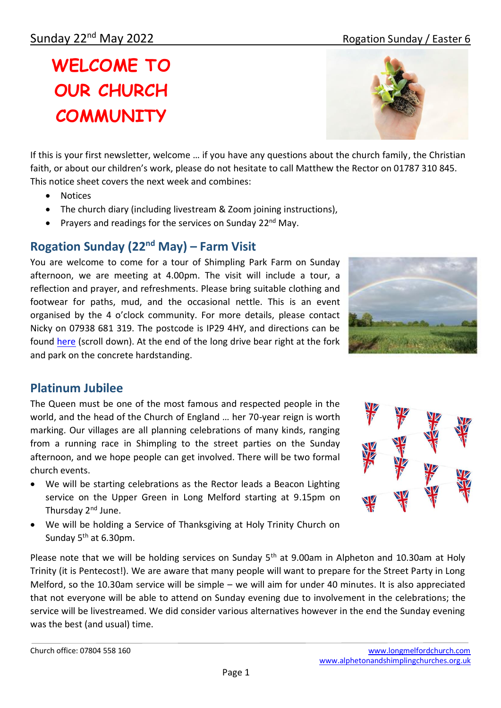## Sunday 22<sup>nd</sup> May 2022 **Rogation Sunday / Easter 6**

**WELCOME TO OUR CHURCH COMMUNITY**

If this is your first newsletter, welcome … if you have any questions about the church family, the Christian faith, or about our children's work, please do not hesitate to call Matthew the Rector on 01787 310 845. This notice sheet covers the next week and combines:

- Notices
- The church diary (including livestream & Zoom joining instructions),
- Prayers and readings for the services on Sunday 22<sup>nd</sup> May.

## **Rogation Sunday (22nd May) – Farm Visit**

You are welcome to come for a tour of Shimpling Park Farm on Sunday afternoon, we are meeting at 4.00pm. The visit will include a tour, a reflection and prayer, and refreshments. Please bring suitable clothing and footwear for paths, mud, and the occasional nettle. This is an event organised by the 4 o'clock community. For more details, please contact Nicky on 07938 681 319. The postcode is IP29 4HY, and directions can be found [here](https://www.shimplingpark.com/contact-home/) (scroll down). At the end of the long drive bear right at the fork and park on the concrete hardstanding.



### **Platinum Jubilee**

The Queen must be one of the most famous and respected people in the world, and the head of the Church of England … her 70-year reign is worth marking. Our villages are all planning celebrations of many kinds, ranging from a running race in Shimpling to the street parties on the Sunday afternoon, and we hope people can get involved. There will be two formal church events.

- We will be starting celebrations as the Rector leads a Beacon Lighting service on the Upper Green in Long Melford starting at 9.15pm on Thursday 2<sup>nd</sup> June.
- We will be holding a Service of Thanksgiving at Holy Trinity Church on Sunday 5<sup>th</sup> at 6.30pm.

Please note that we will be holding services on Sunday 5<sup>th</sup> at 9.00am in Alpheton and 10.30am at Holy Trinity (it is Pentecost!). We are aware that many people will want to prepare for the Street Party in Long Melford, so the 10.30am service will be simple – we will aim for under 40 minutes. It is also appreciated that not everyone will be able to attend on Sunday evening due to involvement in the celebrations; the service will be livestreamed. We did consider various alternatives however in the end the Sunday evening was the best (and usual) time.



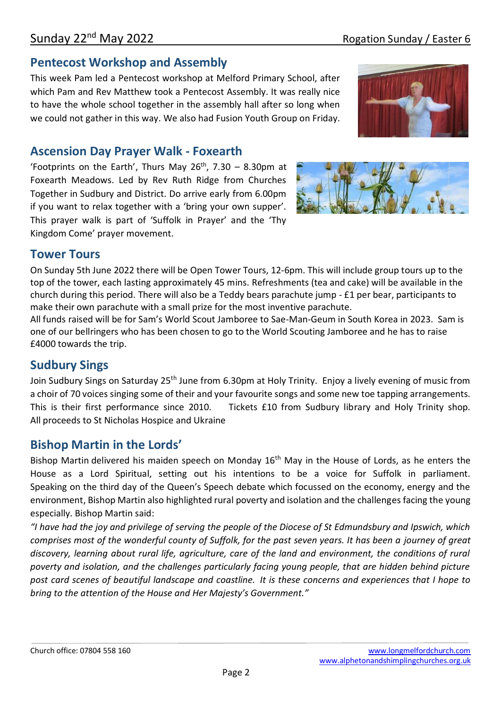## **Pentecost Workshop and Assembly**

This week Pam led a Pentecost workshop at Melford Primary School, after which Pam and Rev Matthew took a Pentecost Assembly. It was really nice to have the whole school together in the assembly hall after so long when we could not gather in this way. We also had Fusion Youth Group on Friday.

## **Ascension Day Prayer Walk - Foxearth**

'Footprints on the Earth', Thurs May  $26<sup>th</sup>$ , 7.30 – 8.30pm at Foxearth Meadows. Led by Rev Ruth Ridge from Churches Together in Sudbury and District. Do arrive early from 6.00pm if you want to relax together with a 'bring your own supper'. This prayer walk is part of 'Suffolk in Prayer' and the 'Thy Kingdom Come' prayer movement.





## **Tower Tours**

On Sunday 5th June 2022 there will be Open Tower Tours, 12-6pm. This will include group tours up to the top of the tower, each lasting approximately 45 mins. Refreshments (tea and cake) will be available in the church during this period. There will also be a Teddy bears parachute jump - £1 per bear, participants to make their own parachute with a small prize for the most inventive parachute.

All funds raised will be for Sam's World Scout Jamboree to Sae-Man-Geum in South Korea in 2023. Sam is one of our bellringers who has been chosen to go to the World Scouting Jamboree and he has to raise £4000 towards the trip.

### **Sudbury Sings**

Join Sudbury Sings on Saturday 25<sup>th</sup> June from 6.30pm at Holy Trinity. Enjoy a lively evening of music from a choir of 70 voices singing some of their and your favourite songs and some new toe tapping arrangements. This is their first performance since 2010. Tickets £10 from Sudbury library and Holy Trinity shop. All proceeds to St Nicholas Hospice and Ukraine

### **Bishop Martin in the Lords'**

Bishop Martin delivered his maiden speech on Monday 16<sup>th</sup> May in the House of Lords, as he enters the House as a Lord Spiritual, setting out his intentions to be a voice for Suffolk in parliament. Speaking on the third day of the Queen's Speech debate which focussed on the economy, energy and the environment, Bishop Martin also highlighted rural poverty and isolation and the challenges facing the young especially. Bishop Martin said:

*"I have had the joy and privilege of serving the people of the Diocese of St Edmundsbury and Ipswich, which comprises most of the wonderful county of Suffolk, for the past seven years. It has been a journey of great discovery, learning about rural life, agriculture, care of the land and environment, the conditions of rural poverty and isolation, and the challenges particularly facing young people, that are hidden behind picture post card scenes of beautiful landscape and coastline. It is these concerns and experiences that I hope to bring to the attention of the House and Her Majesty's Government."*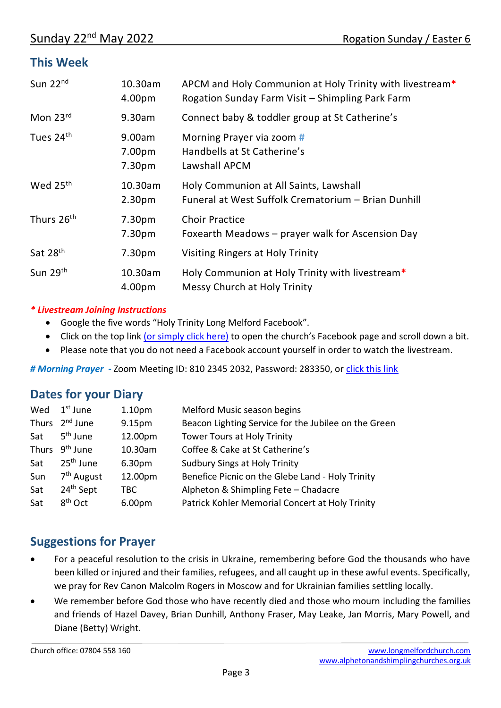#### **This Week**

| Sun 22nd               | 10.30am<br>4.00pm                      | APCM and Holy Communion at Holy Trinity with livestream*<br>Rogation Sunday Farm Visit - Shimpling Park Farm |  |
|------------------------|----------------------------------------|--------------------------------------------------------------------------------------------------------------|--|
| Mon 23rd               | 9.30am                                 | Connect baby & toddler group at St Catherine's                                                               |  |
| Tues 24th              | 9.00am<br>7.00pm<br>7.30 <sub>pm</sub> | Morning Prayer via zoom #<br>Handbells at St Catherine's<br>Lawshall APCM                                    |  |
| Wed 25th               | 10.30am<br>2.30 <sub>pm</sub>          | Holy Communion at All Saints, Lawshall<br>Funeral at West Suffolk Crematorium - Brian Dunhill                |  |
| Thurs 26 <sup>th</sup> | 7.30pm<br>7.30 <sub>pm</sub>           | <b>Choir Practice</b><br>Foxearth Meadows - prayer walk for Ascension Day                                    |  |
| Sat 28th               | 7.30pm                                 | Visiting Ringers at Holy Trinity                                                                             |  |
| Sun 29th               | 10.30am<br>4.00pm                      | Holy Communion at Holy Trinity with livestream*<br>Messy Church at Holy Trinity                              |  |

#### *\* Livestream Joining Instructions*

- Google the five words "Holy Trinity Long Melford Facebook".
- Click on the top link [\(or simply click here\)](https://www.facebook.com/Holy-Trinity-Church-Long-Melford-1768795803366733/photos/pcb.2797067713872865/2797067323872904/) to open the church's Facebook page and scroll down a bit.
- Please note that you do not need a Facebook account yourself in order to watch the livestream.

*# Morning Prayer -* Zoom Meeting ID: 810 2345 2032, Password: 283350, or [click this link](https://us02web.zoom.us/j/81023452032?pwd=RlJMQ0ZVcGtNakpuRDlvaVdYVFJrUT09)

#### **Dates for your Diary**

| Wed | $1st$ June                 | 1.10 <sub>pm</sub> | Melford Music season begins                          |
|-----|----------------------------|--------------------|------------------------------------------------------|
|     | Thurs 2 <sup>nd</sup> June | 9.15pm             | Beacon Lighting Service for the Jubilee on the Green |
| Sat | 5 <sup>th</sup> June       | 12.00pm            | Tower Tours at Holy Trinity                          |
|     | Thurs 9 <sup>th</sup> June | 10.30am            | Coffee & Cake at St Catherine's                      |
| Sat | 25 <sup>th</sup> June      | 6.30pm             | <b>Sudbury Sings at Holy Trinity</b>                 |
| Sun | 7 <sup>th</sup> August     | 12.00pm            | Benefice Picnic on the Glebe Land - Holy Trinity     |
| Sat | 24 <sup>th</sup> Sept      | TBC.               | Alpheton & Shimpling Fete - Chadacre                 |
| Sat | $8th$ Oct                  | 6.00pm             | Patrick Kohler Memorial Concert at Holy Trinity      |
|     |                            |                    |                                                      |

## **Suggestions for Prayer**

- For a peaceful resolution to the crisis in Ukraine, remembering before God the thousands who have been killed or injured and their families, refugees, and all caught up in these awful events. Specifically, we pray for Rev Canon Malcolm Rogers in Moscow and for Ukrainian families settling locally.
- We remember before God those who have recently died and those who mourn including the families and friends of Hazel Davey, Brian Dunhill, Anthony Fraser, May Leake, Jan Morris, Mary Powell, and Diane (Betty) Wright.